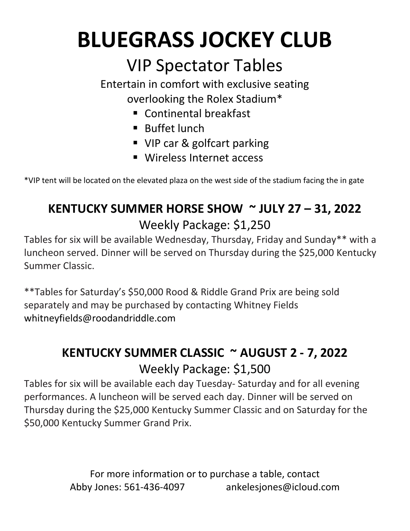# **BLUEGRASS JOCKEY CLUB**

## VIP Spectator Tables

Entertain in comfort with exclusive seating overlooking the Rolex Stadium\*

- Continental breakfast
- Buffet lunch
- VIP car & golfcart parking
- Wireless Internet access

\*VIP tent will be located on the elevated plaza on the west side of the stadium facing the in gate

### **KENTUCKY SUMMER HORSE SHOW ~ JULY 27 – 31, 2022** Weekly Package: \$1,250

Tables for six will be available Wednesday, Thursday, Friday and Sunday\*\* with a luncheon served. Dinner will be served on Thursday during the \$25,000 Kentucky Summer Classic.

\*\*Tables for Saturday's \$50,000 Rood & Riddle Grand Prix are being sold separately and may be purchased by contacting Whitney Fields whitneyfields@roodandriddle.com

#### **KENTUCKY SUMMER CLASSIC ~ AUGUST 2 - 7, 2022** Weekly Package: \$1,500

Tables for six will be available each day Tuesday- Saturday and for all evening performances. A luncheon will be served each day. Dinner will be served on Thursday during the \$25,000 Kentucky Summer Classic and on Saturday for the \$50,000 Kentucky Summer Grand Prix.

> For more information or to purchase a table, contact Abby Jones: 561-436-4097 ankelesjones@icloud.com